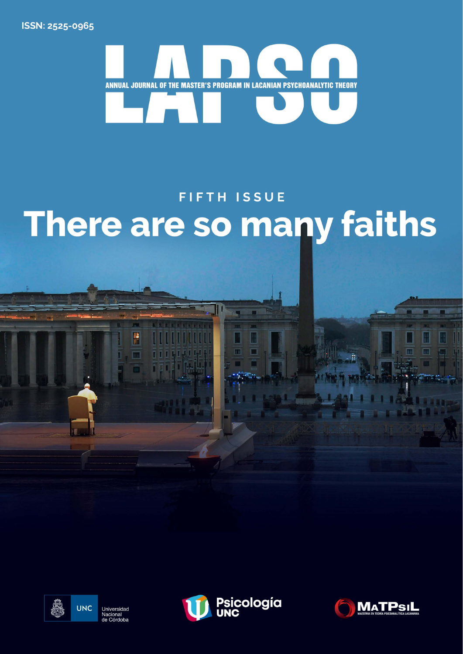ISSN: 2525-0965



# **FIFTH ISSUE** There are so many faiths



P



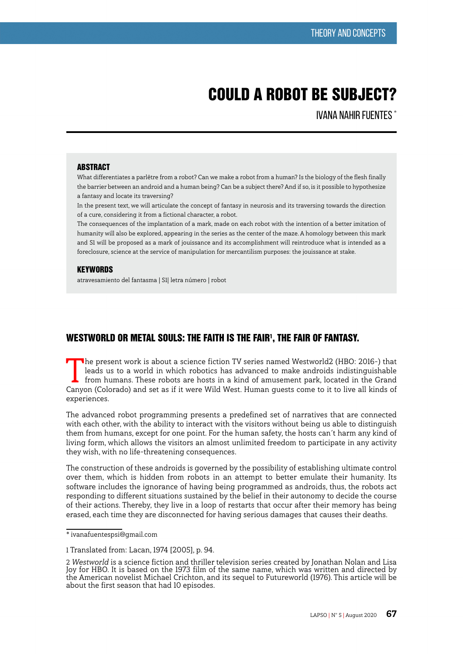# COULD A ROBOT BE SUBJECT?

IVANA NAHIR FUENTES \*

#### **ARSTRACT**

What differentiates a parlêtre from a robot? Can we make a robot from a human? Is the biology of the flesh finally the barrier between an android and a human being? Can be a subject there? And if so, is it possible to hypothesize a fantasy and locate its traversing?

In the present text, we will articulate the concept of fantasy in neurosis and its traversing towards the direction of a cure, considering it from a fictional character, a robot.

The consequences of the implantation of a mark, made on each robot with the intention of a better imitation of humanity will also be explored, appearing in the series as the center of the maze. A homology between this mark and S1 will be proposed as a mark of jouissance and its accomplishment will reintroduce what is intended as a foreclosure, science at the service of manipulation for mercantilism purposes: the jouissance at stake.

#### **KEYWORDS**

atravesamiento del fantasma | S1| letra número | robot

# WESTWORLD OR METAL SOULS: THE FAITH IS THE FAIR', THE FAIR OF FANTASY.

The present work is about a science fiction TV series named Westworld2 (HBO: 2016-) that leads us to a world in which robotics has advanced to make androids indistinguishable from humans. These robots are hosts in a kind of amusement park, located in the Grand Canyon (Colorado) and set as if it were Wild West. Human guests come to it to live all kinds of experiences.

The advanced robot programming presents a predefined set of narratives that are connected with each other, with the ability to interact with the visitors without being us able to distinguish them from humans, except for one point. For the human safety, the hosts can´t harm any kind of living form, which allows the visitors an almost unlimited freedom to participate in any activity they wish, with no life-threatening consequences.

The construction of these androids is governed by the possibility of establishing ultimate control over them, which is hidden from robots in an attempt to better emulate their humanity. Its software includes the ignorance of having being programmed as androids, thus, the robots act responding to different situations sustained by the belief in their autonomy to decide the course of their actions. Thereby, they live in a loop of restarts that occur after their memory has being erased, each time they are disconnected for having serious damages that causes their deaths.

<sup>\*</sup> ivanafuentespsi@gmail.com

<sup>1</sup> Translated from: Lacan, 1974 [2005], p. 94.

<sup>2</sup> Westworld is a science fiction and thriller television series created by Jonathan Nolan and Lisa Joy for HBO. It is based on the 1973 film of the same name, which was written and directed by the American novelist Michael Crichton, and its sequel to Futureworld (1976). This article will be about the first season that had 10 episodes.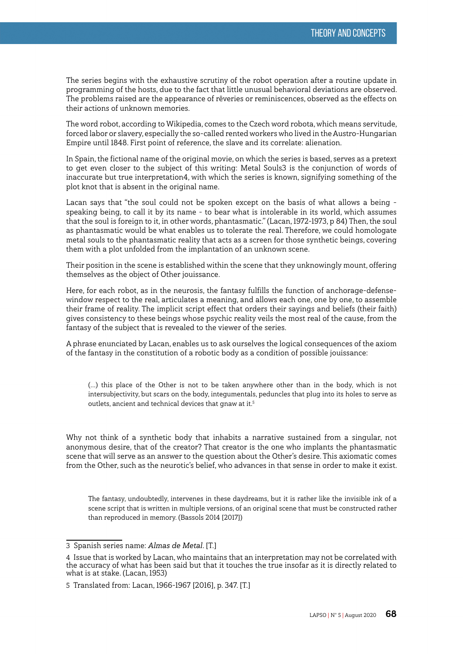The series begins with the exhaustive scrutiny of the robot operation after a routine update in programming of the hosts, due to the fact that little unusual behavioral deviations are observed. The problems raised are the appearance of rêveries or reminiscences, observed as the effects on their actions of unknown memories.

The word robot, according to Wikipedia, comes to the Czech word robota, which means servitude, forced labor or slavery, especially the so-called rented workers who lived in the Austro-Hungarian Empire until 1848. First point of reference, the slave and its correlate: alienation.

In Spain, the fictional name of the original movie, on which the series is based, serves as a pretext to get even closer to the subject of this writing: Metal Souls3 is the conjunction of words of inaccurate but true interpretation4, with which the series is known, signifying something of the plot knot that is absent in the original name.

Lacan says that "the soul could not be spoken except on the basis of what allows a being speaking being, to call it by its name - to bear what is intolerable in its world, which assumes that the soul is foreign to it, in other words, phantasmatic." (Lacan, 1972-1973, p 84) Then, the soul as phantasmatic would be what enables us to tolerate the real. Therefore, we could homologate metal souls to the phantasmatic reality that acts as a screen for those synthetic beings, covering them with a plot unfolded from the implantation of an unknown scene.

Their position in the scene is established within the scene that they unknowingly mount, offering themselves as the object of Other jouissance.

Here, for each robot, as in the neurosis, the fantasy fulfills the function of anchorage-defensewindow respect to the real, articulates a meaning, and allows each one, one by one, to assemble their frame of reality. The implicit script effect that orders their sayings and beliefs (their faith) gives consistency to these beings whose psychic reality veils the most real of the cause, from the fantasy of the subject that is revealed to the viewer of the series.

A phrase enunciated by Lacan, enables us to ask ourselves the logical consequences of the axiom of the fantasy in the constitution of a robotic body as a condition of possible jouissance:

(…) this place of the Other is not to be taken anywhere other than in the body, which is not intersubjectivity, but scars on the body, integumentals, peduncles that plug into its holes to serve as outlets, ancient and technical devices that gnaw at it.<sup>5</sup>

Why not think of a synthetic body that inhabits a narrative sustained from a singular, not anonymous desire, that of the creator? That creator is the one who implants the phantasmatic scene that will serve as an answer to the question about the Other's desire. This axiomatic comes from the Other, such as the neurotic's belief, who advances in that sense in order to make it exist.

The fantasy, undoubtedly, intervenes in these daydreams, but it is rather like the invisible ink of a scene script that is written in multiple versions, of an original scene that must be constructed rather than reproduced in memory. (Bassols 2014 [2017])

<sup>3</sup> Spanish series name: Almas de Metal. [T.]

<sup>4</sup> Issue that is worked by Lacan, who maintains that an interpretation may not be correlated with the accuracy of what has been said but that it touches the true insofar as it is directly related to what is at stake. (Lacan, 1953)

<sup>5</sup> Translated from: Lacan, 1966-1967 [2016], p. 347. [T.]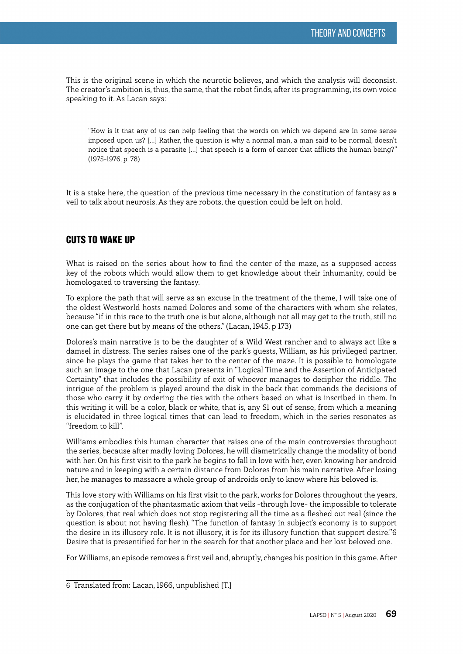This is the original scene in which the neurotic believes, and which the analysis will deconsist. The creator's ambition is, thus, the same, that the robot finds, after its programming, its own voice speaking to it. As Lacan says:

"How is it that any of us can help feeling that the words on which we depend are in some sense imposed upon us? […] Rather, the question is why a normal man, a man said to be normal, doesn't notice that speech is a parasite […] that speech is a form of cancer that afflicts the human being?" (1975-1976, p. 78)

It is a stake here, the question of the previous time necessary in the constitution of fantasy as a veil to talk about neurosis. As they are robots, the question could be left on hold.

### CUTS TO WAKE UP

What is raised on the series about how to find the center of the maze, as a supposed access key of the robots which would allow them to get knowledge about their inhumanity, could be homologated to traversing the fantasy.

To explore the path that will serve as an excuse in the treatment of the theme, I will take one of the oldest Westworld hosts named Dolores and some of the characters with whom she relates, because "if in this race to the truth one is but alone, although not all may get to the truth, still no one can get there but by means of the others." (Lacan, 1945, p 173)

Dolores's main narrative is to be the daughter of a Wild West rancher and to always act like a damsel in distress. The series raises one of the park's guests, William, as his privileged partner, since he plays the game that takes her to the center of the maze. It is possible to homologate such an image to the one that Lacan presents in "Logical Time and the Assertion of Anticipated Certainty" that includes the possibility of exit of whoever manages to decipher the riddle. The intrigue of the problem is played around the disk in the back that commands the decisions of those who carry it by ordering the ties with the others based on what is inscribed in them. In this writing it will be a color, black or white, that is, any S1 out of sense, from which a meaning is elucidated in three logical times that can lead to freedom, which in the series resonates as "freedom to kill".

Williams embodies this human character that raises one of the main controversies throughout the series, because after madly loving Dolores, he will diametrically change the modality of bond with her. On his first visit to the park he begins to fall in love with her, even knowing her android nature and in keeping with a certain distance from Dolores from his main narrative. After losing her, he manages to massacre a whole group of androids only to know where his beloved is.

This love story with Williams on his first visit to the park, works for Dolores throughout the years, as the conjugation of the phantasmatic axiom that veils –through love- the impossible to tolerate by Dolores, that real which does not stop registering all the time as a fleshed out real (since the question is about not having flesh). "The function of fantasy in subject's economy is to support the desire in its illusory role. It is not illusory, it is for its illusory function that support desire."6 Desire that is presentified for her in the search for that another place and her lost beloved one.

For Williams, an episode removes a first veil and, abruptly, changes his position in this game. After

<sup>6</sup> Translated from: Lacan, 1966, unpublished [T.]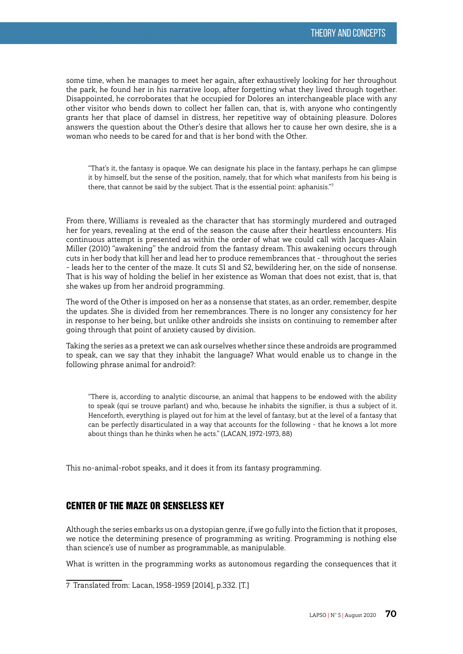some time, when he manages to meet her again, after exhaustively looking for her throughout the park, he found her in his narrative loop, after forgetting what they lived through together. Disappointed, he corroborates that he occupied for Dolores an interchangeable place with any other visitor who bends down to collect her fallen can, that is, with anyone who contingently grants her that place of damsel in distress, her repetitive way of obtaining pleasure. Dolores answers the question about the Other's desire that allows her to cause her own desire, she is a woman who needs to be cared for and that is her bond with the Other.

"That's it, the fantasy is opaque. We can designate his place in the fantasy, perhaps he can glimpse it by himself, but the sense of the position, namely, that for which what manifests from his being is there, that cannot be said by the subject. That is the essential point: aphanisis."7

From there, Williams is revealed as the character that has stormingly murdered and outraged her for years, revealing at the end of the season the cause after their heartless encounters. His continuous attempt is presented as within the order of what we could call with Jacques-Alain Miller (2010) "awakening" the android from the fantasy dream. This awakening occurs through cuts in her body that kill her and lead her to produce remembrances that - throughout the series - leads her to the center of the maze. It cuts S1 and S2, bewildering her, on the side of nonsense. That is his way of holding the belief in her existence as Woman that does not exist, that is, that she wakes up from her android programming.

The word of the Other is imposed on her as a nonsense that states, as an order, remember, despite the updates. She is divided from her remembrances. There is no longer any consistency for her in response to her being, but unlike other androids she insists on continuing to remember after going through that point of anxiety caused by division.

Taking the series as a pretext we can ask ourselves whether since these androids are programmed to speak, can we say that they inhabit the language? What would enable us to change in the following phrase animal for android?:

"There is, according to analytic discourse, an animal that happens to be endowed with the ability to speak (qui se trouve parlant) and who, because he inhabits the signifier, is thus a subject of it. Henceforth, everything is played out for him at the level of fantasy, but at the level of a fantasy that can be perfectly disarticulated in a way that accounts for the following - that he knows a lot more about things than he thinks when he acts." (LACAN, 1972-1973, 88)

This no-animal-robot speaks, and it does it from its fantasy programming.

# CENTER OF THE MAZE OR SENSELESS KEY

Although the series embarks us on a dystopian genre, if we go fully into the fiction that it proposes, we notice the determining presence of programming as writing. Programming is nothing else than science's use of number as programmable, as manipulable.

What is written in the programming works as autonomous regarding the consequences that it

<sup>7</sup> Translated from: Lacan, 1958-1959 [2014], p.332. [T.]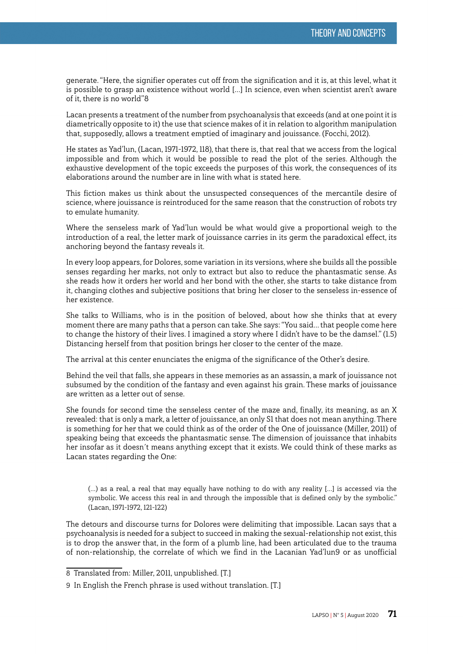generate. "Here, the signifier operates cut off from the signification and it is, at this level, what it is possible to grasp an existence without world […] In science, even when scientist aren't aware of it, there is no world"8

Lacan presents a treatment of the number from psychoanalysis that exceeds (and at one point it is diametrically opposite to it) the use that science makes of it in relation to algorithm manipulation that, supposedly, allows a treatment emptied of imaginary and jouissance. (Focchi, 2012).

He states as Yad'lun, (Lacan, 1971-1972, 118), that there is, that real that we access from the logical impossible and from which it would be possible to read the plot of the series. Although the exhaustive development of the topic exceeds the purposes of this work, the consequences of its elaborations around the number are in line with what is stated here.

This fiction makes us think about the unsuspected consequences of the mercantile desire of science, where jouissance is reintroduced for the same reason that the construction of robots try to emulate humanity.

Where the senseless mark of Yad'lun would be what would give a proportional weigh to the introduction of a real, the letter mark of jouissance carries in its germ the paradoxical effect, its anchoring beyond the fantasy reveals it.

In every loop appears, for Dolores, some variation in its versions, where she builds all the possible senses regarding her marks, not only to extract but also to reduce the phantasmatic sense. As she reads how it orders her world and her bond with the other, she starts to take distance from it, changing clothes and subjective positions that bring her closer to the senseless in-essence of her existence.

She talks to Williams, who is in the position of beloved, about how she thinks that at every moment there are many paths that a person can take. She says: "You said… that people come here to change the history of their lives. I imagined a story where I didn't have to be the damsel." (1.5) Distancing herself from that position brings her closer to the center of the maze.

The arrival at this center enunciates the enigma of the significance of the Other's desire.

Behind the veil that falls, she appears in these memories as an assassin, a mark of jouissance not subsumed by the condition of the fantasy and even against his grain. These marks of jouissance are written as a letter out of sense.

She founds for second time the senseless center of the maze and, finally, its meaning, as an X revealed: that is only a mark, a letter of jouissance, an only S1 that does not mean anything. There is something for her that we could think as of the order of the One of jouissance (Miller, 2011) of speaking being that exceeds the phantasmatic sense. The dimension of jouissance that inhabits her insofar as it doesn´t means anything except that it exists. We could think of these marks as Lacan states regarding the One:

(…) as a real, a real that may equally have nothing to do with any reality […] is accessed via the symbolic. We access this real in and through the impossible that is defined only by the symbolic." (Lacan, 1971-1972, 121-122)

The detours and discourse turns for Dolores were delimiting that impossible. Lacan says that a psychoanalysis is needed for a subject to succeed in making the sexual-relationship not exist, this is to drop the answer that, in the form of a plumb line, had been articulated due to the trauma of non-relationship, the correlate of which we find in the Lacanian Yad'lun9 or as unofficial

<sup>8</sup> Translated from: Miller, 2011, unpublished. [T.]

<sup>9</sup> In English the French phrase is used without translation. [T.]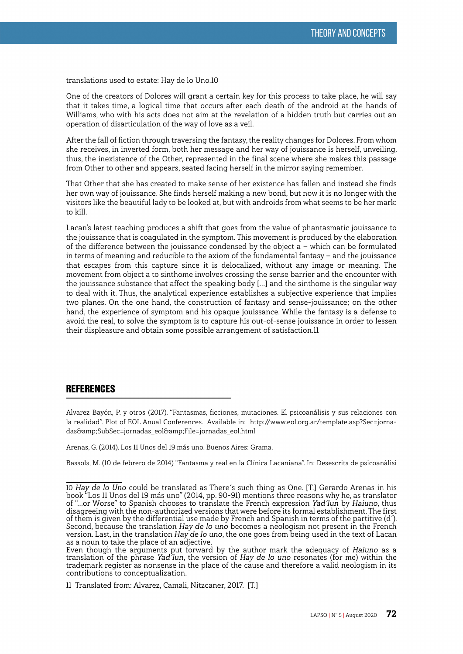translations used to estate: Hay de lo Uno.10

One of the creators of Dolores will grant a certain key for this process to take place, he will say that it takes time, a logical time that occurs after each death of the android at the hands of Williams, who with his acts does not aim at the revelation of a hidden truth but carries out an operation of disarticulation of the way of love as a veil.

After the fall of fiction through traversing the fantasy, the reality changes for Dolores. From whom she receives, in inverted form, both her message and her way of jouissance is herself, unveiling, thus, the inexistence of the Other, represented in the final scene where she makes this passage from Other to other and appears, seated facing herself in the mirror saying remember.

That Other that she has created to make sense of her existence has fallen and instead she finds her own way of jouissance. She finds herself making a new bond, but now it is no longer with the visitors like the beautiful lady to be looked at, but with androids from what seems to be her mark: to kill.

Lacan's latest teaching produces a shift that goes from the value of phantasmatic jouissance to the jouissance that is coagulated in the symptom. This movement is produced by the elaboration of the difference between the jouissance condensed by the object  $a -$  which can be formulated in terms of meaning and reducible to the axiom of the fundamental fantasy — and the jouissance that escapes from this capture since it is delocalized, without any image or meaning. The movement from object a to sinthome involves crossing the sense barrier and the encounter with the jouissance substance that affect the speaking body […] and the sinthome is the singular way to deal with it. Thus, the analytical experience establishes a subjective experience that implies two planes. On the one hand, the construction of fantasy and sense-jouissance; on the other hand, the experience of symptom and his opaque jouissance. While the fantasy is a defense to avoid the real, to solve the symptom is to capture his out-of-sense jouissance in order to lessen their displeasure and obtain some possible arrangement of satisfaction.11

#### **REFERENCES**

Alvarez Bayón, P. y otros (2017). "Fantasmas, ficciones, mutaciones. El psicoanálisis y sus relaciones con la realidad". Plot of EOL Anual Conferences. Available in: [http://www.eol.org.ar/template.asp?Sec=jorna](http://www.eol.org.ar/template.asp?Sec=jornadas&SubSec=jornadas_eol&File=jornadas_eol.html)[das&SubSec=jornadas\\_eol&File=jornadas\\_eol.html](http://www.eol.org.ar/template.asp?Sec=jornadas&SubSec=jornadas_eol&File=jornadas_eol.html)

Arenas, G. (2014). Los 11 Unos del 19 más uno. Buenos Aires: Grama.

Bassols, M. (10 de febrero de 2014) "Fantasma y real en la Clínica Lacaniana". In: Desescrits de psicoanàlisi

<sup>10</sup> Hay de lo Uno could be translated as There´s such thing as One. [T.] Gerardo Arenas in his book "Los 11 Unos del 19 más uno" (2014, pp. 90-91) mentions three reasons why he, as translator of "...or Worse" to Spanish chooses to translate the French expression Yad´lun by Haiuno, thus disagreeing with the non-authorized versions that were before its formal establishment. The first of them is given by the differential use made by French and Spanish in terms of the partitive (d´). Second, because the translation Hay de lo uno becomes a neologism not present in the French version. Last, in the translation Hay de lo uno, the one goes from being used in the text of Lacan as a noun to take the place of an adjective.

Even though the arguments put forward by the author mark the adequacy of Haiuno as a translation of the phrase Yad´lun, the version of Hay de lo uno resonates (for me) within the trademark register as nonsense in the place of the cause and therefore a valid neologism in its contributions to conceptualization.

<sup>11</sup> Translated from: Alvarez, Camali, Nitzcaner, 2017. [T.]